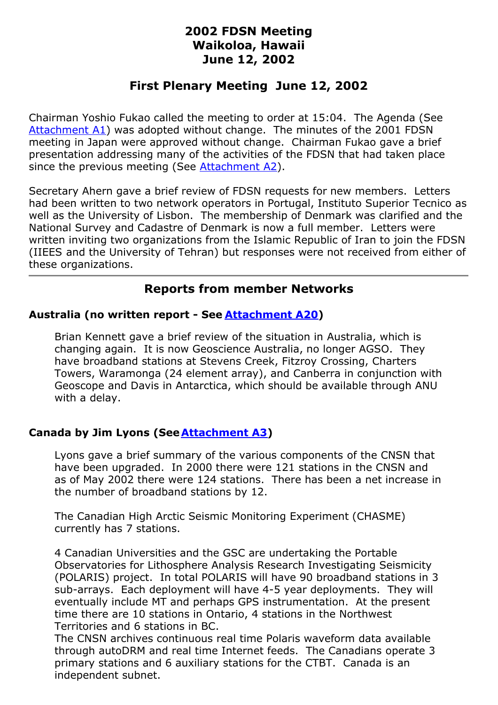# **2002 FDSN Meeting Waikoloa, Hawaii June 12, 2002**

# **First Plenary Meeting June 12, 2002**

Chairman Yoshio Fukao called the meeting to order at 15:04. The Agenda (See [Attachment](/FDSNmeetings/2002/A1-FDSNAgenda.htm) A1) was adopted without change. The minutes of the 2001 FDSN meeting in Japan were approved without change. Chairman Fukao gave a brief presentation addressing many of the activities of the FDSN that had taken place since the previous meeting (See [Attachment](/FDSNmeetings/2002/A2-Chairman.htm) A2).

Secretary Ahern gave a brief review of FDSN requests for new members. Letters had been written to two network operators in Portugal, Instituto Superior Tecnico as well as the University of Lisbon. The membership of Denmark was clarified and the National Survey and Cadastre of Denmark is now a full member. Letters were written inviting two organizations from the Islamic Republic of Iran to join the FDSN (IIEES and the University of Tehran) but responses were not received from either of these organizations.

# **Reports from member Networks**

## **Australia (no written report - See [Attachment](/FDSNmeetings/2002/A20-Australia.jpg) A20)**

Brian Kennett gave a brief review of the situation in Australia, which is changing again. It is now Geoscience Australia, no longer AGSO. They have broadband stations at Stevens Creek, Fitzroy Crossing, Charters Towers, Waramonga (24 element array), and Canberra in conjunction with Geoscope and Davis in Antarctica, which should be available through ANU with a delay.

# **Canada by Jim Lyons (See[Attachment](/FDSNmeetings/2002/A3-CN.htm) A3)**

Lyons gave a brief summary of the various components of the CNSN that have been upgraded. In 2000 there were 121 stations in the CNSN and as of May 2002 there were 124 stations. There has been a net increase in the number of broadband stations by 12.

The Canadian High Arctic Seismic Monitoring Experiment (CHASME) currently has 7 stations.

4 Canadian Universities and the GSC are undertaking the Portable Observatories for Lithosphere Analysis Research Investigating Seismicity (POLARIS) project. In total POLARIS will have 90 broadband stations in 3 sub-arrays. Each deployment will have 4-5 year deployments. They will eventually include MT and perhaps GPS instrumentation. At the present time there are 10 stations in Ontario, 4 stations in the Northwest Territories and 6 stations in BC.

The CNSN archives continuous real time Polaris waveform data available through autoDRM and real time Internet feeds. The Canadians operate 3 primary stations and 6 auxiliary stations for the CTBT. Canada is an independent subnet.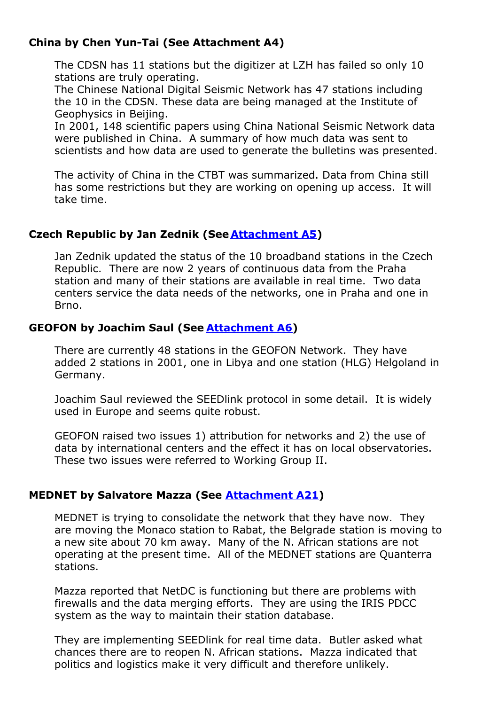# **China by Chen Yun-Tai (See Attachment A4)**

The CDSN has 11 stations but the digitizer at LZH has failed so only 10 stations are truly operating.

The Chinese National Digital Seismic Network has 47 stations including the 10 in the CDSN. These data are being managed at the Institute of Geophysics in Beijing.

In 2001, 148 scientific papers using China National Seismic Network data were published in China. A summary of how much data was sent to scientists and how data are used to generate the bulletins was presented.

The activity of China in the CTBT was summarized. Data from China still has some restrictions but they are working on opening up access. It will take time.

## **Czech Republic by Jan Zednik (See [Attachment](/FDSNmeetings/2002/A5-CZ.htm) A5)**

Jan Zednik updated the status of the 10 broadband stations in the Czech Republic. There are now 2 years of continuous data from the Praha station and many of their stations are available in real time. Two data centers service the data needs of the networks, one in Praha and one in Brno.

## **GEOFON by Joachim Saul (See [Attachment](/FDSNmeetings/2002/A6-GEOFON.htm) A6)**

There are currently 48 stations in the GEOFON Network. They have added 2 stations in 2001, one in Libya and one station (HLG) Helgoland in Germany.

Joachim Saul reviewed the SEEDlink protocol in some detail. It is widely used in Europe and seems quite robust.

GEOFON raised two issues 1) attribution for networks and 2) the use of data by international centers and the effect it has on local observatories. These two issues were referred to Working Group II.

## **MEDNET by Salvatore Mazza (See [Attachment](/FDSNmeetings/2002/A21-MedNet.htm) A21)**

MEDNET is trying to consolidate the network that they have now. They are moving the Monaco station to Rabat, the Belgrade station is moving to a new site about 70 km away. Many of the N. African stations are not operating at the present time. All of the MEDNET stations are Quanterra stations.

Mazza reported that NetDC is functioning but there are problems with firewalls and the data merging efforts. They are using the IRIS PDCC system as the way to maintain their station database.

They are implementing SEEDlink for real time data. Butler asked what chances there are to reopen N. African stations. Mazza indicated that politics and logistics make it very difficult and therefore unlikely.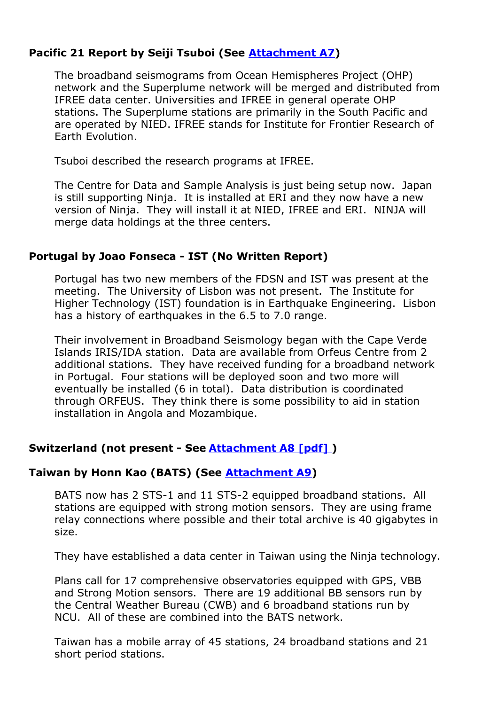## **Pacific 21 Report by Seiji Tsuboi (See [Attachment](/FDSNmeetings/2002/A7a-Pacific21.htm) A7)**

The broadband seismograms from Ocean Hemispheres Project (OHP) network and the Superplume network will be merged and distributed from IFREE data center. Universities and IFREE in general operate OHP stations. The Superplume stations are primarily in the South Pacific and are operated by NIED. IFREE stands for Institute for Frontier Research of Earth Evolution.

Tsuboi described the research programs at IFREE.

The Centre for Data and Sample Analysis is just being setup now. Japan is still supporting Ninja. It is installed at ERI and they now have a new version of Ninja. They will install it at NIED, IFREE and ERI. NINJA will merge data holdings at the three centers.

#### **Portugal by Joao Fonseca - IST (No Written Report)**

Portugal has two new members of the FDSN and IST was present at the meeting. The University of Lisbon was not present. The Institute for Higher Technology (IST) foundation is in Earthquake Engineering. Lisbon has a history of earthquakes in the 6.5 to 7.0 range.

Their involvement in Broadband Seismology began with the Cape Verde Islands IRIS/IDA station. Data are available from Orfeus Centre from 2 additional stations. They have received funding for a broadband network in Portugal. Four stations will be deployed soon and two more will eventually be installed (6 in total). Data distribution is coordinated through ORFEUS. They think there is some possibility to aid in station installation in Angola and Mozambique.

## **Switzerland (not present - See [Attachment](/FDSNmeetings/2002/A8-Swiss.pdf) A8 [pdf] )**

# **Taiwan by Honn Kao (BATS) (See [Attachment](/FDSNmeetings/2002/A9-Taiwan.htm) A9)**

BATS now has 2 STS-1 and 11 STS-2 equipped broadband stations. All stations are equipped with strong motion sensors. They are using frame relay connections where possible and their total archive is 40 gigabytes in size.

They have established a data center in Taiwan using the Ninja technology.

Plans call for 17 comprehensive observatories equipped with GPS, VBB and Strong Motion sensors. There are 19 additional BB sensors run by the Central Weather Bureau (CWB) and 6 broadband stations run by NCU. All of these are combined into the BATS network.

Taiwan has a mobile array of 45 stations, 24 broadband stations and 21 short period stations.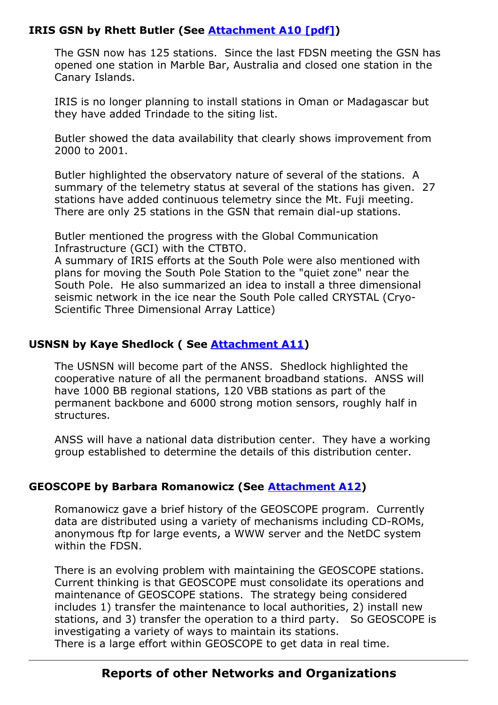## **IRIS GSN by Rhett Butler (See [Attachment](/FDSNmeetings/2002/A10-GSN.pdf) A10 [pdf])**

The GSN now has 125 stations. Since the last FDSN meeting the GSN has opened one station in Marble Bar, Australia and closed one station in the Canary Islands.

IRIS is no longer planning to install stations in Oman or Madagascar but they have added Trindade to the siting list.

Butler showed the data availability that clearly shows improvement from 2000 to 2001.

Butler highlighted the observatory nature of several of the stations. A summary of the telemetry status at several of the stations has given. 27 stations have added continuous telemetry since the Mt. Fuji meeting. There are only 25 stations in the GSN that remain dial-up stations.

Butler mentioned the progress with the Global Communication Infrastructure (GCI) with the CTBTO.

A summary of IRIS efforts at the South Pole were also mentioned with plans for moving the South Pole Station to the "quiet zone" near the South Pole. He also summarized an idea to install a three dimensional seismic network in the ice near the South Pole called CRYSTAL (Cryo-Scientific Three Dimensional Array Lattice)

## **USNSN by Kaye Shedlock ( See [Attachment](/FDSNmeetings/2002/A11-USNSN.htm) A11)**

The USNSN will become part of the ANSS. Shedlock highlighted the cooperative nature of all the permanent broadband stations. ANSS will have 1000 BB regional stations, 120 VBB stations as part of the permanent backbone and 6000 strong motion sensors, roughly half in structures.

ANSS will have a national data distribution center. They have a working group established to determine the details of this distribution center.

# **GEOSCOPE by Barbara Romanowicz (See [Attachment](/FDSNmeetings/2002/A12-Geoscope.htm) A12)**

Romanowicz gave a brief history of the GEOSCOPE program. Currently data are distributed using a variety of mechanisms including CD-ROMs, anonymous ftp for large events, a WWW server and the NetDC system within the FDSN.

There is an evolving problem with maintaining the GEOSCOPE stations. Current thinking is that GEOSCOPE must consolidate its operations and maintenance of GEOSCOPE stations. The strategy being considered includes 1) transfer the maintenance to local authorities, 2) install new stations, and 3) transfer the operation to a third party. So GEOSCOPE is investigating a variety of ways to maintain its stations. There is a large effort within GEOSCOPE to get data in real time.

# **Reports of other Networks and Organizations**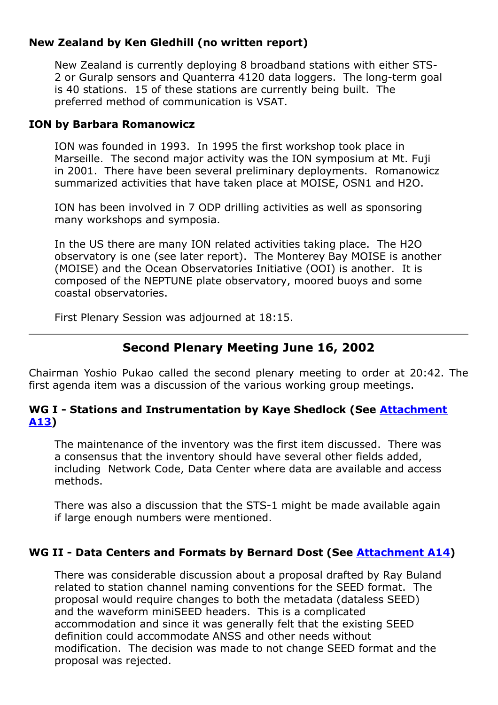## **New Zealand by Ken Gledhill (no written report)**

New Zealand is currently deploying 8 broadband stations with either STS-2 or Guralp sensors and Quanterra 4120 data loggers. The long-term goal is 40 stations. 15 of these stations are currently being built. The preferred method of communication is VSAT.

#### **ION by Barbara Romanowicz**

ION was founded in 1993. In 1995 the first workshop took place in Marseille. The second major activity was the ION symposium at Mt. Fuji in 2001. There have been several preliminary deployments. Romanowicz summarized activities that have taken place at MOISE, OSN1 and H2O.

ION has been involved in 7 ODP drilling activities as well as sponsoring many workshops and symposia.

In the US there are many ION related activities taking place. The H2O observatory is one (see later report). The Monterey Bay MOISE is another (MOISE) and the Ocean Observatories Initiative (OOI) is another. It is composed of the NEPTUNE plate observatory, moored buoys and some coastal observatories.

First Plenary Session was adjourned at 18:15.

# **Second Plenary Meeting June 16, 2002**

Chairman Yoshio Pukao called the second plenary meeting to order at 20:42. The first agenda item was a discussion of the various working group meetings.

## **WG I - Stations and [Instrumentation](/FDSNmeetings/2002/A13-WG1.htm) by Kaye Shedlock (See Attachment A13)**

The maintenance of the inventory was the first item discussed. There was a consensus that the inventory should have several other fields added, including Network Code, Data Center where data are available and access methods.

There was also a discussion that the STS-1 might be made available again if large enough numbers were mentioned.

## **WG II - Data Centers and Formats by Bernard Dost (See [Attachment](/FDSNmeetings/2002/A14-WGII.htm) A14)**

There was considerable discussion about a proposal drafted by Ray Buland related to station channel naming conventions for the SEED format. The proposal would require changes to both the metadata (dataless SEED) and the waveform miniSEED headers. This is a complicated accommodation and since it was generally felt that the existing SEED definition could accommodate ANSS and other needs without modification. The decision was made to not change SEED format and the proposal was rejected.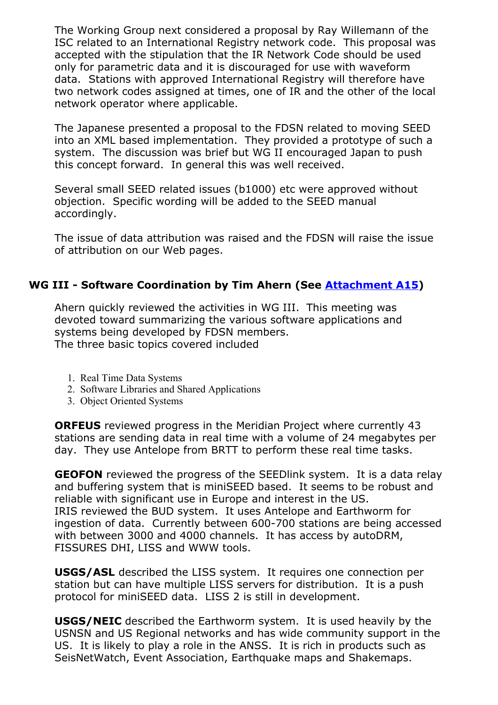The Working Group next considered a proposal by Ray Willemann of the ISC related to an International Registry network code. This proposal was accepted with the stipulation that the IR Network Code should be used only for parametric data and it is discouraged for use with waveform data. Stations with approved International Registry will therefore have two network codes assigned at times, one of IR and the other of the local network operator where applicable.

The Japanese presented a proposal to the FDSN related to moving SEED into an XML based implementation. They provided a prototype of such a system. The discussion was brief but WG II encouraged Japan to push this concept forward. In general this was well received.

Several small SEED related issues (b1000) etc were approved without objection. Specific wording will be added to the SEED manual accordingly.

The issue of data attribution was raised and the FDSN will raise the issue of attribution on our Web pages.

## **WG III - Software Coordination by Tim Ahern (See [Attachment](/FDSNmeetings/2002/A15-WGIII.htm) A15)**

Ahern quickly reviewed the activities in WG III. This meeting was devoted toward summarizing the various software applications and systems being developed by FDSN members. The three basic topics covered included

- 1. Real Time Data Systems
- 2. Software Libraries and Shared Applications
- 3. Object Oriented Systems

**ORFEUS** reviewed progress in the Meridian Project where currently 43 stations are sending data in real time with a volume of 24 megabytes per day. They use Antelope from BRTT to perform these real time tasks.

**GEOFON** reviewed the progress of the SEEDlink system. It is a data relay and buffering system that is miniSEED based. It seems to be robust and reliable with significant use in Europe and interest in the US. IRIS reviewed the BUD system. It uses Antelope and Earthworm for ingestion of data. Currently between 600-700 stations are being accessed with between 3000 and 4000 channels. It has access by autoDRM, FISSURES DHI, LISS and WWW tools.

**USGS/ASL** described the LISS system. It requires one connection per station but can have multiple LISS servers for distribution. It is a push protocol for miniSEED data. LISS 2 is still in development.

**USGS/NEIC** described the Earthworm system. It is used heavily by the USNSN and US Regional networks and has wide community support in the US. It is likely to play a role in the ANSS. It is rich in products such as SeisNetWatch, Event Association, Earthquake maps and Shakemaps.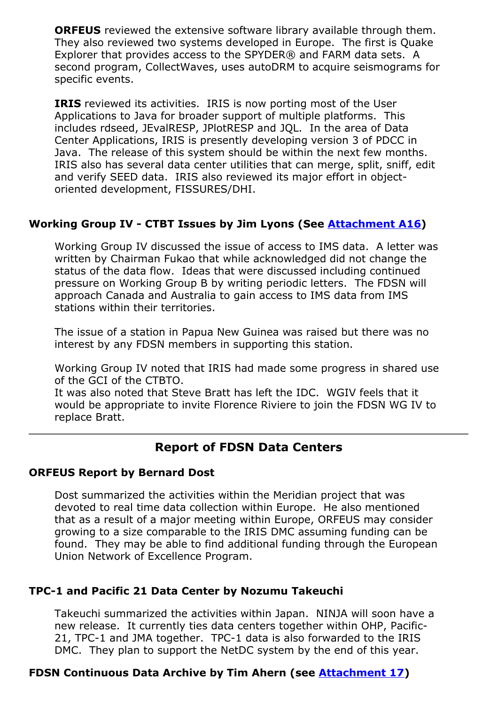**ORFEUS** reviewed the extensive software library available through them. They also reviewed two systems developed in Europe. The first is Quake Explorer that provides access to the SPYDER® and FARM data sets. A second program, CollectWaves, uses autoDRM to acquire seismograms for specific events.

**IRIS** reviewed its activities. IRIS is now porting most of the User Applications to Java for broader support of multiple platforms. This includes rdseed, JEvalRESP, JPlotRESP and JQL. In the area of Data Center Applications, IRIS is presently developing version 3 of PDCC in Java. The release of this system should be within the next few months. IRIS also has several data center utilities that can merge, split, sniff, edit and verify SEED data. IRIS also reviewed its major effort in objectoriented development, FISSURES/DHI.

# **Working Group IV - CTBT Issues by Jim Lyons (See [Attachment](/FDSNmeetings/2002/A16-WG4.htm) A16)**

Working Group IV discussed the issue of access to IMS data. A letter was written by Chairman Fukao that while acknowledged did not change the status of the data flow. Ideas that were discussed including continued pressure on Working Group B by writing periodic letters. The FDSN will approach Canada and Australia to gain access to IMS data from IMS stations within their territories.

The issue of a station in Papua New Guinea was raised but there was no interest by any FDSN members in supporting this station.

Working Group IV noted that IRIS had made some progress in shared use of the GCI of the CTBTO.

It was also noted that Steve Bratt has left the IDC. WGIV feels that it would be appropriate to invite Florence Riviere to join the FDSN WG IV to replace Bratt.

# **Report of FDSN Data Centers**

#### **ORFEUS Report by Bernard Dost**

Dost summarized the activities within the Meridian project that was devoted to real time data collection within Europe. He also mentioned that as a result of a major meeting within Europe, ORFEUS may consider growing to a size comparable to the IRIS DMC assuming funding can be found. They may be able to find additional funding through the European Union Network of Excellence Program.

## **TPC-1 and Pacific 21 Data Center by Nozumu Takeuchi**

Takeuchi summarized the activities within Japan. NINJA will soon have a new release. It currently ties data centers together within OHP, Pacific-21, TPC-1 and JMA together. TPC-1 data is also forwarded to the IRIS DMC. They plan to support the NetDC system by the end of this year.

# **FDSN Continuous Data Archive by Tim Ahern (see [Attachment](/FDSNmeetings/2002/A17-DMS.htm) 17)**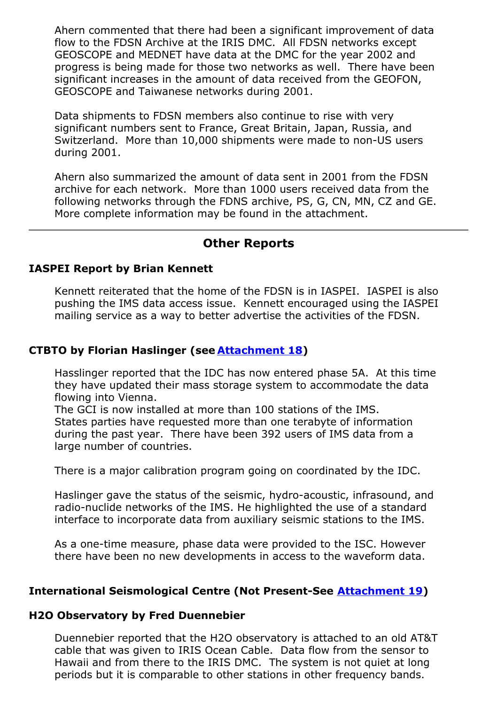Ahern commented that there had been a significant improvement of data flow to the FDSN Archive at the IRIS DMC. All FDSN networks except GEOSCOPE and MEDNET have data at the DMC for the year 2002 and progress is being made for those two networks as well. There have been significant increases in the amount of data received from the GEOFON, GEOSCOPE and Taiwanese networks during 2001.

Data shipments to FDSN members also continue to rise with very significant numbers sent to France, Great Britain, Japan, Russia, and Switzerland. More than 10,000 shipments were made to non-US users during 2001.

Ahern also summarized the amount of data sent in 2001 from the FDSN archive for each network. More than 1000 users received data from the following networks through the FDNS archive, PS, G, CN, MN, CZ and GE. More complete information may be found in the attachment.

## **Other Reports**

#### **IASPEI Report by Brian Kennett**

Kennett reiterated that the home of the FDSN is in IASPEI. IASPEI is also pushing the IMS data access issue. Kennett encouraged using the IASPEI mailing service as a way to better advertise the activities of the FDSN.

#### **CTBTO by Florian Haslinger (see [Attachment](/FDSNmeetings/2002/A18-IMS.htm) 18)**

Hasslinger reported that the IDC has now entered phase 5A. At this time they have updated their mass storage system to accommodate the data flowing into Vienna.

The GCI is now installed at more than 100 stations of the IMS. States parties have requested more than one terabyte of information during the past year. There have been 392 users of IMS data from a large number of countries.

There is a major calibration program going on coordinated by the IDC.

Haslinger gave the status of the seismic, hydro-acoustic, infrasound, and radio-nuclide networks of the IMS. He highlighted the use of a standard interface to incorporate data from auxiliary seismic stations to the IMS.

As a one-time measure, phase data were provided to the ISC. However there have been no new developments in access to the waveform data.

#### **International Seismological Centre (Not Present-See [Attachment](/FDSNmeetings/2002/A19-ISC.htm) 19)**

#### **H2O Observatory by Fred Duennebier**

Duennebier reported that the H2O observatory is attached to an old AT&T cable that was given to IRIS Ocean Cable. Data flow from the sensor to Hawaii and from there to the IRIS DMC. The system is not quiet at long periods but it is comparable to other stations in other frequency bands.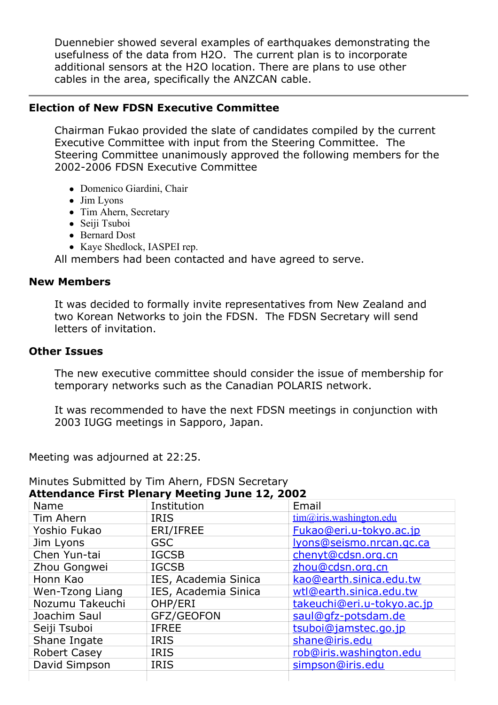Duennebier showed several examples of earthquakes demonstrating the usefulness of the data from H2O. The current plan is to incorporate additional sensors at the H2O location. There are plans to use other cables in the area, specifically the ANZCAN cable.

#### **Election of New FDSN Executive Committee**

Chairman Fukao provided the slate of candidates compiled by the current Executive Committee with input from the Steering Committee. The Steering Committee unanimously approved the following members for the 2002-2006 FDSN Executive Committee

- Domenico Giardini, Chair
- Jim Lyons
- Tim Ahern, Secretary
- Seiji Tsuboi
- Bernard Dost
- Kaye Shedlock, IASPEI rep.

All members had been contacted and have agreed to serve.

#### **New Members**

It was decided to formally invite representatives from New Zealand and two Korean Networks to join the FDSN. The FDSN Secretary will send letters of invitation.

#### **Other Issues**

The new executive committee should consider the issue of membership for temporary networks such as the Canadian POLARIS network.

It was recommended to have the next FDSN meetings in conjunction with 2003 IUGG meetings in Sapporo, Japan.

Meeting was adjourned at 22:25.

| <b>Attendance First Plenary Meeting June 12, 2002</b> |                      |                                   |  |  |
|-------------------------------------------------------|----------------------|-----------------------------------|--|--|
| Name                                                  | Institution          | Email                             |  |  |
| Tim Ahern                                             | <b>IRIS</b>          | $tim(\omega)$ iris.washington.edu |  |  |
| Yoshio Fukao                                          | ERI/IFREE            | Fukao@eri.u-tokyo.ac.jp           |  |  |
| Jim Lyons                                             | <b>GSC</b>           | lyons@seismo.nrcan.gc.ca          |  |  |
| Chen Yun-tai                                          | <b>IGCSB</b>         | chenyt@cdsn.org.cn                |  |  |
| Zhou Gongwei                                          | <b>IGCSB</b>         | zhou@cdsn.org.cn                  |  |  |
| Honn Kao                                              | IES, Academia Sinica | kao@earth.sinica.edu.tw           |  |  |
| Wen-Tzong Liang                                       | IES, Academia Sinica | wtl@earth.sinica.edu.tw           |  |  |
| Nozumu Takeuchi                                       | OHP/ERI              | takeuchi@eri.u-tokyo.ac.jp        |  |  |
| Joachim Saul                                          | GFZ/GEOFON           | saul@gfz-potsdam.de               |  |  |
| Seiji Tsuboi                                          | <b>IFREE</b>         | tsuboi@jamstec.go.jp              |  |  |
| Shane Ingate                                          | <b>IRIS</b>          | shane@iris.edu                    |  |  |
| <b>Robert Casey</b>                                   | <b>IRIS</b>          | rob@iris.washington.edu           |  |  |
| David Simpson                                         | <b>IRIS</b>          | simpson@iris.edu                  |  |  |
|                                                       |                      |                                   |  |  |

# Minutes Submitted by Tim Ahern, FDSN Secretary